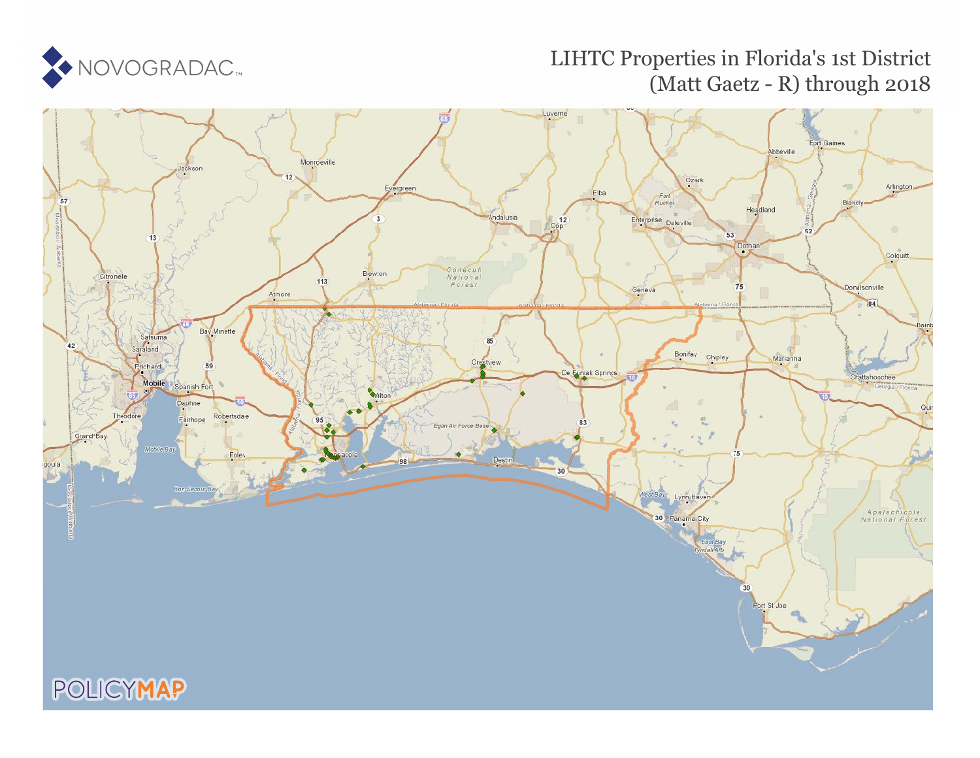

## LIHTC Properties in Florida's 1st District (Matt Gaetz - R) through 2018

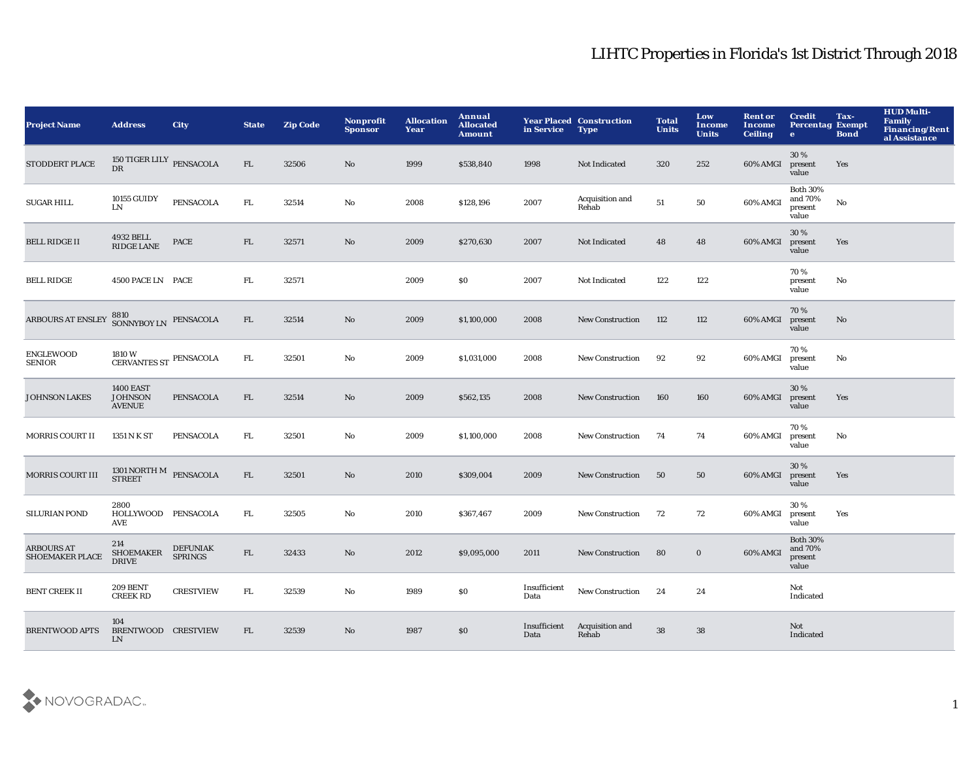| <b>Project Name</b>                         | <b>Address</b>                                      | <b>City</b>                       | <b>State</b> | <b>Zip Code</b> | <b>Nonprofit</b><br><b>Sponsor</b> | <b>Allocation</b><br>Year | Annual<br><b>Allocated</b><br><b>Amount</b> | in Service           | <b>Year Placed Construction</b><br><b>Type</b> | <b>Total</b><br><b>Units</b> | Low<br><b>Income</b><br><b>Units</b> | <b>Rent or</b><br><b>Income</b><br><b>Ceiling</b> | <b>Credit</b><br><b>Percentag Exempt</b><br>$\bullet$ | Tax-<br><b>Bond</b> | <b>HUD Multi-</b><br>Family<br><b>Financing/Rent</b><br>al Assistance |
|---------------------------------------------|-----------------------------------------------------|-----------------------------------|--------------|-----------------|------------------------------------|---------------------------|---------------------------------------------|----------------------|------------------------------------------------|------------------------------|--------------------------------------|---------------------------------------------------|-------------------------------------------------------|---------------------|-----------------------------------------------------------------------|
| STODDERT PLACE                              | 150 TIGER LILY $_{\rm PENSACOLA}$<br><b>DR</b>      |                                   | FL           | 32506           | No                                 | 1999                      | \$538,840                                   | 1998                 | Not Indicated                                  | 320                          | 252                                  | 60% AMGI                                          | 30%<br>present<br>value                               | Yes                 |                                                                       |
| <b>SUGAR HILL</b>                           | 10155 GUIDY<br><b>LN</b>                            | <b>PENSACOLA</b>                  | FL.          | 32514           | No                                 | 2008                      | \$128,196                                   | 2007                 | Acquisition and<br>Rehab                       | 51                           | 50                                   | 60% AMGI                                          | <b>Both 30%</b><br>and 70%<br>present<br>value        | $\mathbf{No}$       |                                                                       |
| <b>BELL RIDGE II</b>                        | $4932$ BELL<br><b>RIDGE LANE</b>                    | PACE                              | FL           | 32571           | $\mathbf{N}\mathbf{o}$             | 2009                      | \$270,630                                   | 2007                 | Not Indicated                                  | 48                           | 48                                   | 60% AMGI                                          | 30%<br>present<br>value                               | Yes                 |                                                                       |
| <b>BELL RIDGE</b>                           | 4500 PACE LN PACE                                   |                                   | FL.          | 32571           |                                    | 2009                      | \$0                                         | 2007                 | Not Indicated                                  | 122                          | 122                                  |                                                   | 70%<br>present<br>value                               | No                  |                                                                       |
| ARBOURS AT ENSLEY                           | $8810$ $$\rm \,SONNYBOY~LN$$ $$\rm \,PENSACOLA$$    |                                   | FL           | 32514           | No                                 | 2009                      | \$1,100,000                                 | 2008                 | <b>New Construction</b>                        | 112                          | 112                                  | 60% AMGI                                          | 70%<br>present<br>value                               | No                  |                                                                       |
| <b>ENGLEWOOD</b><br><b>SENIOR</b>           | 1810 W<br>CERVANTES ST PENSACOLA                    |                                   | FL.          | 32501           | No                                 | 2009                      | \$1,031,000                                 | 2008                 | <b>New Construction</b>                        | 92                           | 92                                   | 60% AMGI                                          | 70%<br>present<br>value                               | No                  |                                                                       |
| <b>JOHNSON LAKES</b>                        | <b>1400 EAST</b><br><b>JOHNSON</b><br><b>AVENUE</b> | <b>PENSACOLA</b>                  | FL           | 32514           | $\mathbf{N}\mathbf{o}$             | 2009                      | \$562,135                                   | 2008                 | <b>New Construction</b>                        | 160                          | 160                                  | 60% AMGI                                          | 30%<br>present<br>value                               | Yes                 |                                                                       |
| <b>MORRIS COURT II</b>                      | 1351 N K ST                                         | <b>PENSACOLA</b>                  | FL.          | 32501           | No                                 | 2009                      | \$1,100,000                                 | 2008                 | New Construction                               | 74                           | 74                                   | 60% AMGI                                          | 70%<br>present<br>value                               | No                  |                                                                       |
| <b>MORRIS COURT III</b>                     | $1301$ NORTH M $$\tt PENSACOLA$$                    |                                   | FL           | 32501           | $\mathbf{No}$                      | 2010                      | \$309,004                                   | 2009                 | <b>New Construction</b>                        | 50                           | 50                                   | 60% AMGI                                          | 30%<br>present<br>value                               | Yes                 |                                                                       |
| <b>SILURIAN POND</b>                        | 2800<br>HOLLYWOOD PENSACOLA<br>AVE                  |                                   | FL.          | 32505           | No                                 | 2010                      | \$367,467                                   | 2009                 | <b>New Construction</b>                        | 72                           | 72                                   | 60% AMGI                                          | 30%<br>present<br>value                               | Yes                 |                                                                       |
| <b>ARBOURS AT</b><br><b>SHOEMAKER PLACE</b> | 214<br><b>SHOEMAKER</b><br><b>DRIVE</b>             | <b>DEFUNIAK</b><br><b>SPRINGS</b> | ${\rm FL}$   | 32433           | No                                 | 2012                      | \$9,095,000                                 | 2011                 | <b>New Construction</b>                        | 80                           | $\mathbf 0$                          | 60% AMGI                                          | <b>Both 30%</b><br>and 70%<br>present<br>value        |                     |                                                                       |
| <b>BENT CREEK II</b>                        | <b>209 BENT</b><br><b>CREEK RD</b>                  | <b>CRESTVIEW</b>                  | FL.          | 32539           | No                                 | 1989                      | $\$0$                                       | Insufficient<br>Data | <b>New Construction</b>                        | 24                           | 24                                   |                                                   | Not<br>Indicated                                      |                     |                                                                       |
| <b>BRENTWOOD APTS</b>                       | 104<br>BRENTWOOD CRESTVIEW<br>LN                    |                                   | FL           | 32539           | $\mathbf{N}\mathbf{o}$             | 1987                      | \$0                                         | Insufficient<br>Data | Acquisition and<br>Rehab                       | 38                           | 38                                   |                                                   | Not<br>Indicated                                      |                     |                                                                       |

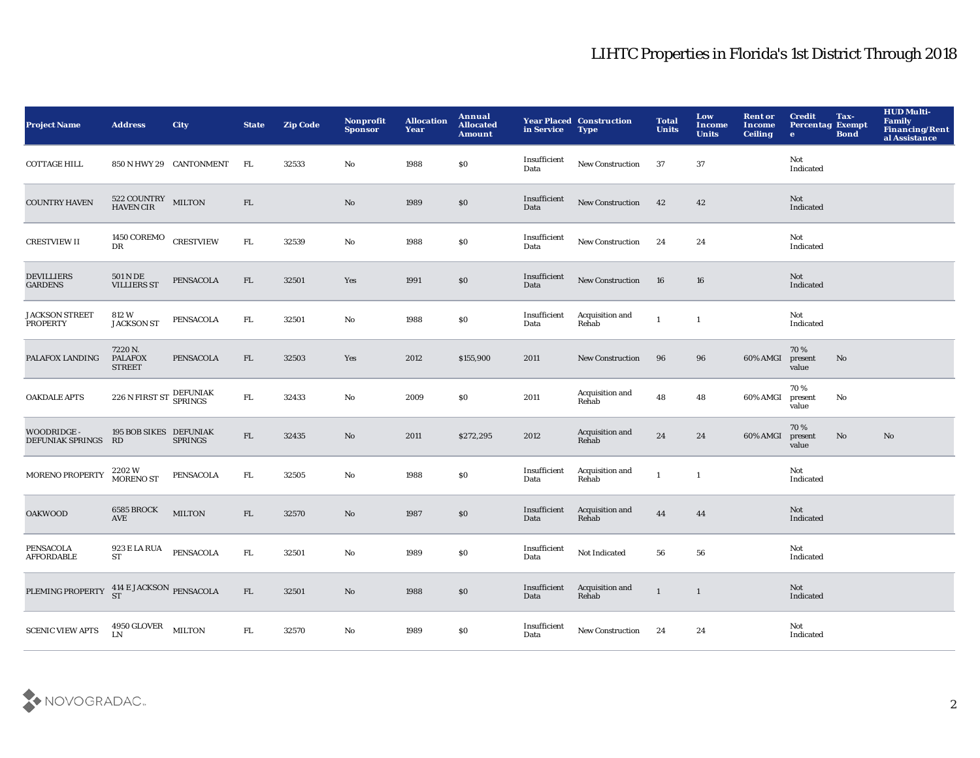| <b>Project Name</b>                       | <b>Address</b>                             | <b>City</b>             | <b>State</b> | <b>Zip Code</b> | Nonprofit<br><b>Sponsor</b> | <b>Allocation</b><br>Year | Annual<br><b>Allocated</b><br><b>Amount</b> | in Service           | <b>Year Placed Construction</b><br><b>Type</b> | <b>Total</b><br><b>Units</b> | Low<br>Income<br><b>Units</b> | <b>Rent or</b><br><b>Income</b><br><b>Ceiling</b> | <b>Credit</b><br><b>Percentag Exempt</b><br>$\bullet$ | Tax-<br><b>Bond</b>    | <b>HUD Multi-</b><br><b>Family</b><br>Financing/Rent<br>al Assistance |
|-------------------------------------------|--------------------------------------------|-------------------------|--------------|-----------------|-----------------------------|---------------------------|---------------------------------------------|----------------------|------------------------------------------------|------------------------------|-------------------------------|---------------------------------------------------|-------------------------------------------------------|------------------------|-----------------------------------------------------------------------|
| <b>COTTAGE HILL</b>                       |                                            | 850 N HWY 29 CANTONMENT | FL.          | 32533           | No                          | 1988                      | \$0                                         | Insufficient<br>Data | <b>New Construction</b>                        | 37                           | 37                            |                                                   | Not<br>Indicated                                      |                        |                                                                       |
| <b>COUNTRY HAVEN</b>                      | 522 COUNTRY MILTON<br>HAVEN CIR            |                         | ${\rm FL}$   |                 | $\rm No$                    | 1989                      | $\$0$                                       | Insufficient<br>Data | New Construction                               | 42                           | 42                            |                                                   | Not<br>Indicated                                      |                        |                                                                       |
| <b>CRESTVIEW II</b>                       | 1450 COREMO CRESTVIEW<br>DR                |                         | ${\rm FL}$   | 32539           | $\mathbf{N}\mathbf{o}$      | 1988                      | $\$0$                                       | Insufficient<br>Data | <b>New Construction</b>                        | 24                           | 24                            |                                                   | Not<br>Indicated                                      |                        |                                                                       |
| <b>DEVILLIERS</b><br><b>GARDENS</b>       | 501 N DE<br><b>VILLIERS ST</b>             | PENSACOLA               | ${\rm FL}$   | 32501           | Yes                         | 1991                      | $\$0$                                       | Insufficient<br>Data | New Construction                               | 16                           | 16                            |                                                   | Not<br>Indicated                                      |                        |                                                                       |
| <b>JACKSON STREET</b><br><b>PROPERTY</b>  | 812 W<br><b>JACKSON ST</b>                 | PENSACOLA               | FL.          | 32501           | No                          | 1988                      | \$0                                         | Insufficient<br>Data | Acquisition and<br>Rehab                       | $\mathbf{1}$                 | $\mathbf 1$                   |                                                   | Not<br>Indicated                                      |                        |                                                                       |
| PALAFOX LANDING                           | 7220 N.<br><b>PALAFOX</b><br><b>STREET</b> | PENSACOLA               | ${\rm FL}$   | 32503           | Yes                         | 2012                      | \$155,900                                   | 2011                 | New Construction                               | 96                           | 96                            | 60% AMGI                                          | 70%<br>present<br>value                               | $\mathbf{N}\mathbf{o}$ |                                                                       |
| <b>OAKDALE APTS</b>                       | 226 N FIRST ST                             | DEFUNIAK<br>SPRINGS     | ${\rm FL}$   | 32433           | $\mathbf{N}\mathbf{o}$      | 2009                      | \$0                                         | 2011                 | Acquisition and<br>Rehab                       | 48                           | 48                            | 60% AMGI                                          | 70%<br>present<br>value                               | No                     |                                                                       |
| <b>WOODRIDGE -</b><br>DEFUNIAK SPRINGS RD | 195 BOB SIKES DEFUNIAK                     | <b>SPRINGS</b>          | ${\rm FL}$   | 32435           | $\mathbf{N}\mathbf{o}$      | 2011                      | \$272,295                                   | 2012                 | Acquisition and<br>Rehab                       | 24                           | 24                            | 60% AMGI                                          | 70%<br>present<br>value                               | No                     | No                                                                    |
| <b>MORENO PROPERTY</b>                    | $2202\,\mathrm{W}$ MORENO ST               | PENSACOLA               | FL.          | 32505           | No                          | 1988                      | \$0                                         | Insufficient<br>Data | Acquisition and<br>Rehab                       | $\mathbf{1}$                 | $\mathbf{1}$                  |                                                   | Not<br>Indicated                                      |                        |                                                                       |
| <b>OAKWOOD</b>                            | 6585 BROCK<br><b>AVE</b>                   | <b>MILTON</b>           | ${\rm FL}$   | 32570           | No                          | 1987                      | \$0                                         | Insufficient<br>Data | Acquisition and<br>Rehab                       | $\bf 44$                     | 44                            |                                                   | Not<br>Indicated                                      |                        |                                                                       |
| <b>PENSACOLA</b><br><b>AFFORDABLE</b>     | 923 E LA RUA<br><b>ST</b>                  | PENSACOLA               | FL.          | 32501           | No                          | 1989                      | $\$0$                                       | Insufficient<br>Data | Not Indicated                                  | 56                           | 56                            |                                                   | Not<br>Indicated                                      |                        |                                                                       |
| PLEMING PROPERTY                          | 414 E JACKSON PENSACOLA<br>ST              |                         | FL           | 32501           | No                          | 1988                      | \$0                                         | Insufficient<br>Data | Acquisition and<br>Rehab                       | $\mathbf{1}$                 | $\mathbf{1}$                  |                                                   | Not<br>Indicated                                      |                        |                                                                       |
| <b>SCENIC VIEW APTS</b>                   | $4950\, \mathrm{GLOVER}$ MILTON LN         |                         | FL           | 32570           | No                          | 1989                      | \$0                                         | Insufficient<br>Data | New Construction                               | 24                           | 24                            |                                                   | Not<br>Indicated                                      |                        |                                                                       |

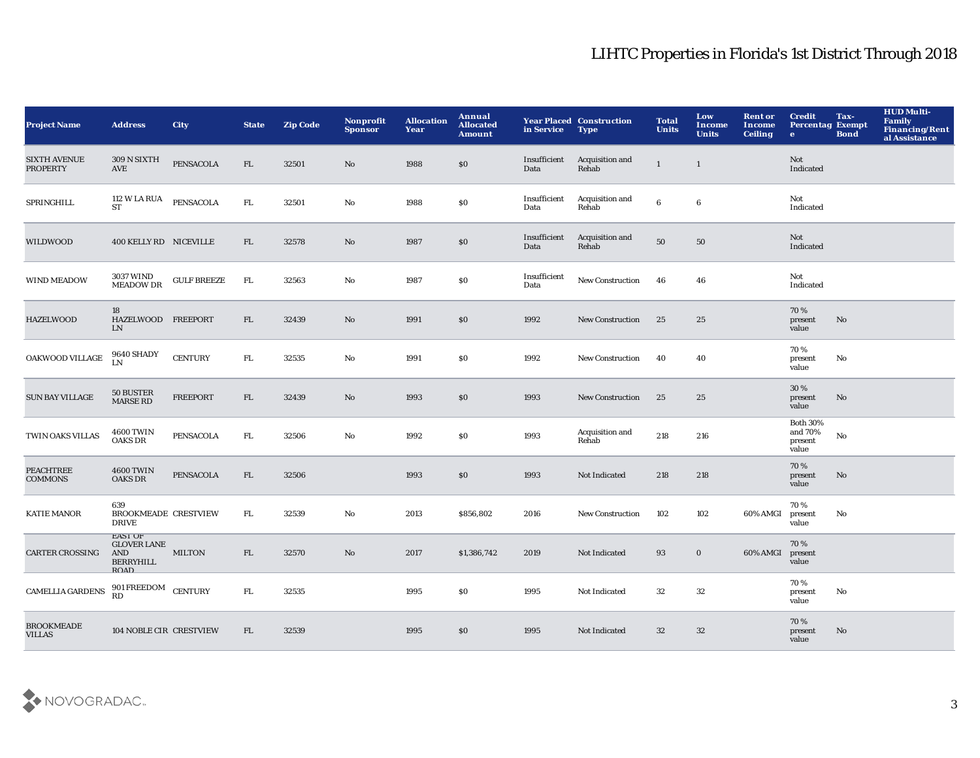| <b>Project Name</b>                    | <b>Address</b>                                                          | <b>City</b>        | <b>State</b> | <b>Zip Code</b> | Nonprofit<br><b>Sponsor</b> | <b>Allocation</b><br>Year | Annual<br><b>Allocated</b><br><b>Amount</b> | in Service           | <b>Year Placed Construction</b><br><b>Type</b> | <b>Total</b><br><b>Units</b> | Low<br><b>Income</b><br><b>Units</b> | <b>Rent or</b><br><b>Income</b><br><b>Ceiling</b> | <b>Credit</b><br><b>Percentag Exempt</b><br>$\bullet$ | Tax-<br><b>Bond</b>    | <b>HUD Multi-</b><br>Family<br>Financing/Rent<br>al Assistance |
|----------------------------------------|-------------------------------------------------------------------------|--------------------|--------------|-----------------|-----------------------------|---------------------------|---------------------------------------------|----------------------|------------------------------------------------|------------------------------|--------------------------------------|---------------------------------------------------|-------------------------------------------------------|------------------------|----------------------------------------------------------------|
| <b>SIXTH AVENUE</b><br><b>PROPERTY</b> | 309 N SIXTH<br>AVE                                                      | PENSACOLA          | FL           | 32501           | No                          | 1988                      | \$0                                         | Insufficient<br>Data | Acquisition and<br>Rehab                       | $\mathbf{1}$                 | $\mathbf{1}$                         |                                                   | <b>Not</b><br>Indicated                               |                        |                                                                |
| SPRINGHILL                             | 112 W LA RUA PENSACOLA<br><b>ST</b>                                     |                    | ${\rm FL}$   | 32501           | No                          | 1988                      | \$0                                         | Insufficient<br>Data | Acquisition and<br>Rehab                       | $6\phantom{1}$               | $\bf 6$                              |                                                   | Not<br>Indicated                                      |                        |                                                                |
| WILDWOOD                               | 400 KELLY RD NICEVILLE                                                  |                    | FL           | 32578           | No                          | 1987                      | \$0                                         | Insufficient<br>Data | Acquisition and<br>Rehab                       | ${\bf 50}$                   | 50                                   |                                                   | Not<br>Indicated                                      |                        |                                                                |
| <b>WIND MEADOW</b>                     | 3037 WIND<br><b>MEADOW DR</b>                                           | <b>GULF BREEZE</b> | FL.          | 32563           | $\mathbf{No}$               | 1987                      | $\$0$                                       | Insufficient<br>Data | New Construction                               | 46                           | 46                                   |                                                   | Not<br>Indicated                                      |                        |                                                                |
| <b>HAZELWOOD</b>                       | 18<br>HAZELWOOD FREEPORT<br>LN                                          |                    | FL           | 32439           | $\mathbf{N}\mathbf{o}$      | 1991                      | \$0                                         | 1992                 | <b>New Construction</b>                        | 25                           | 25                                   |                                                   | 70%<br>present<br>value                               | $\mathbf{N}\mathbf{o}$ |                                                                |
| OAKWOOD VILLAGE                        | <b>9640 SHADY</b><br>LN                                                 | <b>CENTURY</b>     | FL.          | 32535           | No                          | 1991                      | \$0                                         | 1992                 | <b>New Construction</b>                        | 40                           | 40                                   |                                                   | 70%<br>present<br>value                               | No                     |                                                                |
| <b>SUN BAY VILLAGE</b>                 | 50 BUSTER<br><b>MARSE RD</b>                                            | <b>FREEPORT</b>    | FL.          | 32439           | No                          | 1993                      | \$0                                         | 1993                 | <b>New Construction</b>                        | 25                           | 25                                   |                                                   | 30 %<br>present<br>value                              | No                     |                                                                |
| TWIN OAKS VILLAS                       | <b>4600 TWIN</b><br><b>OAKS DR</b>                                      | PENSACOLA          | FL.          | 32506           | No                          | 1992                      | \$0                                         | 1993                 | Acquisition and<br>Rehab                       | 218                          | 216                                  |                                                   | <b>Both 30%</b><br>and 70%<br>present<br>value        | $\mathbf {No}$         |                                                                |
| <b>PEACHTREE</b><br><b>COMMONS</b>     | <b>4600 TWIN</b><br><b>OAKS DR</b>                                      | PENSACOLA          | FL           | 32506           |                             | 1993                      | \$0                                         | 1993                 | Not Indicated                                  | 218                          | 218                                  |                                                   | 70%<br>present<br>value                               | $\mathbf{No}$          |                                                                |
| <b>KATIE MANOR</b>                     | 639<br><b>BROOKMEADE CRESTVIEW</b><br><b>DRIVE</b>                      |                    | FL.          | 32539           | $\rm No$                    | 2013                      | \$856,802                                   | 2016                 | <b>New Construction</b>                        | 102                          | 102                                  | 60% AMGI                                          | 70%<br>present<br>value                               | No                     |                                                                |
| <b>CARTER CROSSING</b>                 | <b>EAST OF</b><br><b>GLOVER LANE</b><br>AND<br>BERRYHILL<br><b>ROAD</b> | <b>MILTON</b>      | FL           | 32570           | $\mathbf{N}\mathbf{o}$      | 2017                      | \$1,386,742                                 | 2019                 | Not Indicated                                  | 93                           | $\bf{0}$                             | 60% AMGI                                          | 70%<br>present<br>value                               |                        |                                                                |
| <b>CAMELLIA GARDENS</b>                | 901 FREEDOM CENTURY                                                     |                    | FL           | 32535           |                             | 1995                      | \$0                                         | 1995                 | Not Indicated                                  | 32                           | 32                                   |                                                   | 70%<br>present<br>value                               | $\mathbf {No}$         |                                                                |
| <b>BROOKMEADE</b><br><b>VILLAS</b>     | 104 NOBLE CIR CRESTVIEW                                                 |                    | FL.          | 32539           |                             | 1995                      | \$0                                         | 1995                 | Not Indicated                                  | 32                           | 32                                   |                                                   | 70%<br>present<br>value                               | No                     |                                                                |